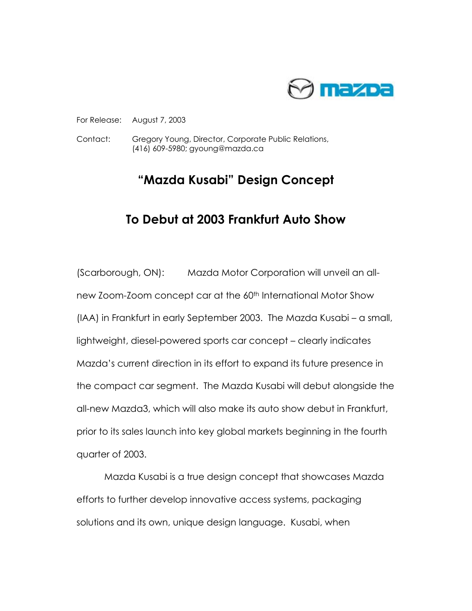

## For Release: August 7, 2003

Contact: Gregory Young, Director, Corporate Public Relations, (416) 609-5980; gyoung@mazda.ca

## **"Mazda Kusabi" Design Concept**

## **To Debut at 2003 Frankfurt Auto Show**

(Scarborough, ON): Mazda Motor Corporation will unveil an allnew Zoom-Zoom concept car at the 60th International Motor Show (IAA) in Frankfurt in early September 2003. The Mazda Kusabi – a small, lightweight, diesel-powered sports car concept – clearly indicates Mazda's current direction in its effort to expand its future presence in the compact car segment. The Mazda Kusabi will debut alongside the all-new Mazda3, which will also make its auto show debut in Frankfurt, prior to its sales launch into key global markets beginning in the fourth quarter of 2003.

Mazda Kusabi is a true design concept that showcases Mazda efforts to further develop innovative access systems, packaging solutions and its own, unique design language. Kusabi, when